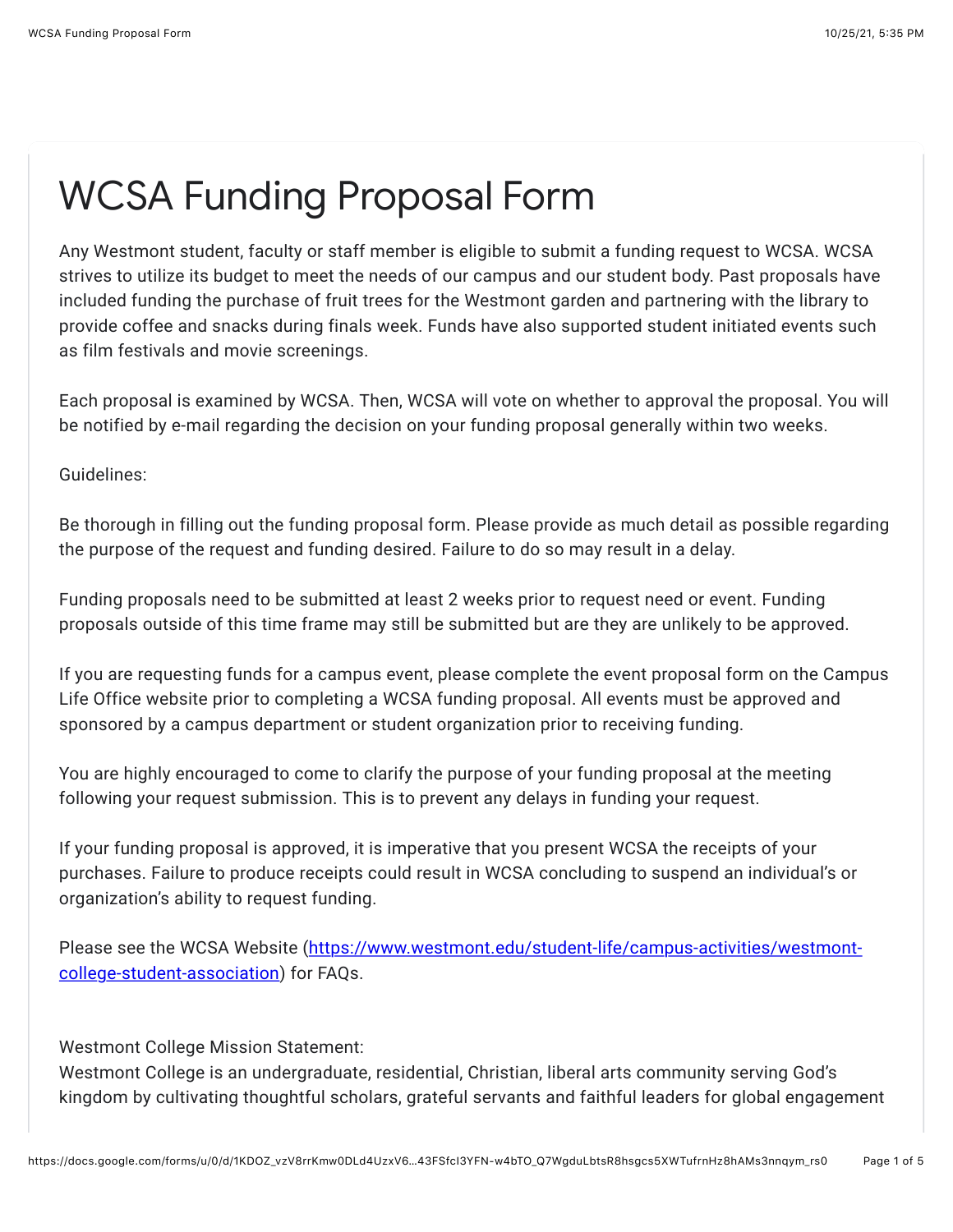## WCSA Funding Proposal Form

Any Westmont student, faculty or staff member is eligible to submit a funding request to WCSA. WCSA strives to utilize its budget to meet the needs of our campus and our student body. Past proposals have included funding the purchase of fruit trees for the Westmont garden and partnering with the library to provide coffee and snacks during finals week. Funds have also supported student initiated events such as film festivals and movie screenings.

Each proposal is examined by WCSA. Then, WCSA will vote on whether to approval the proposal. You will be notified by e-mail regarding the decision on your funding proposal generally within two weeks.

Guidelines:

Be thorough in filling out the funding proposal form. Please provide as much detail as possible regarding the purpose of the request and funding desired. Failure to do so may result in a delay.

Funding proposals need to be submitted at least 2 weeks prior to request need or event. Funding proposals outside of this time frame may still be submitted but are they are unlikely to be approved.

If you are requesting funds for a campus event, please complete the event proposal form on the Campus Life Office website prior to completing a WCSA funding proposal. All events must be approved and sponsored by a campus department or student organization prior to receiving funding.

You are highly encouraged to come to clarify the purpose of your funding proposal at the meeting following your request submission. This is to prevent any delays in funding your request.

If your funding proposal is approved, it is imperative that you present WCSA the receipts of your purchases. Failure to produce receipts could result in WCSA concluding to suspend an individual's or organization's ability to request funding.

[Please see the WCSA Website \(https://www.westmont.edu/student-life/campus-activities/westmont](https://www.google.com/url?q=https://www.westmont.edu/student-life/campus-activities/westmont-college-student-association&sa=D&source=editors&ust=1635212122225000&usg=AOvVaw3mm8Xhqw0WUnpJkoSoFGn1)college-student-association) for FAQs.

Westmont College Mission Statement:

Westmont College is an undergraduate, residential, Christian, liberal arts community serving God's kingdom by cultivating thoughtful scholars, grateful servants and faithful leaders for global engagement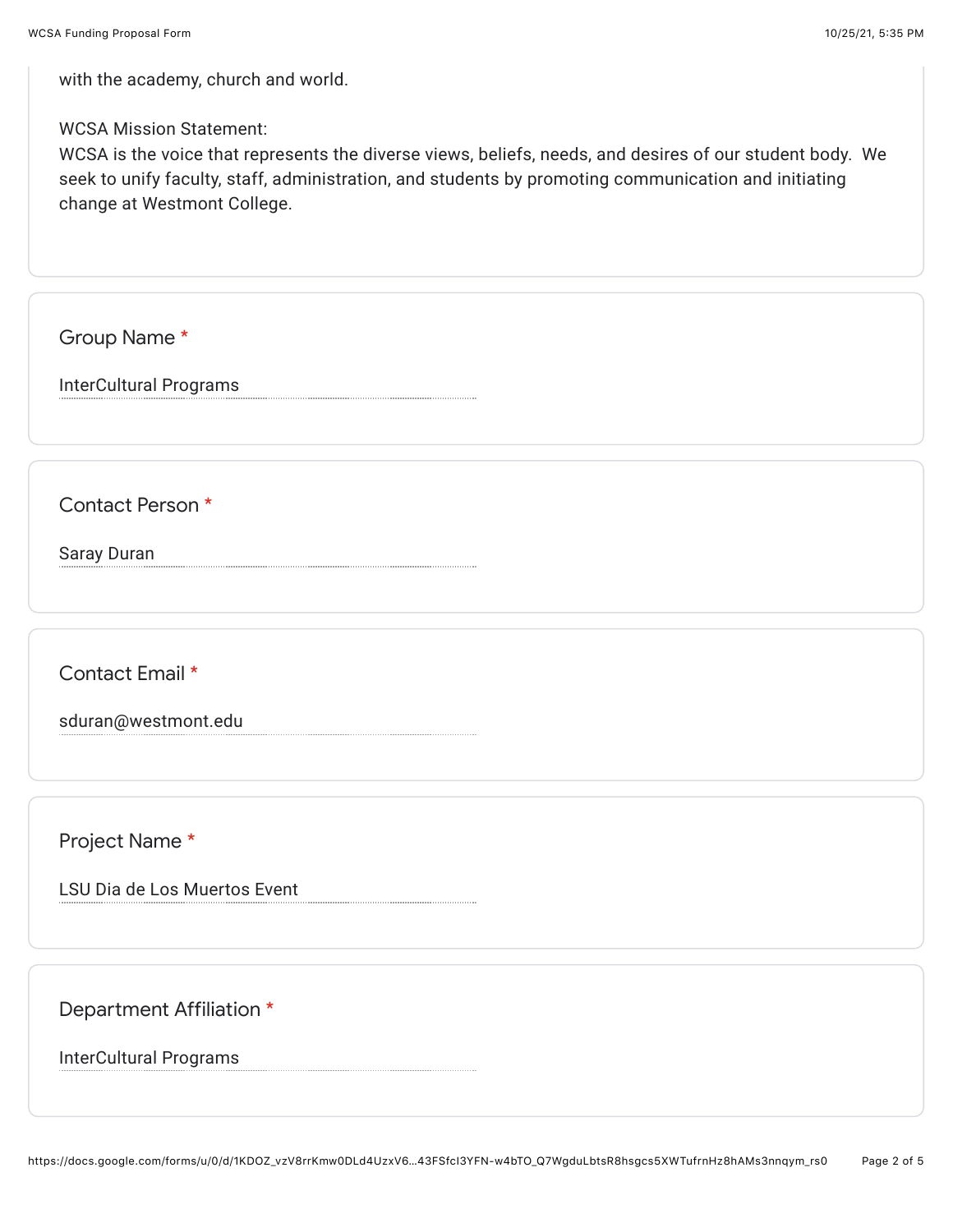with the academy, church and world.

## WCSA Mission Statement:

WCSA is the voice that represents the diverse views, beliefs, needs, and desires of our student body. We seek to unify faculty, staff, administration, and students by promoting communication and initiating change at Westmont College.

Group Name \*

InterCultural Programs

Contact Person \*

Saray Duran

Contact Email \*

sduran@westmont.edu

Project Name \*

LSU Dia de Los Muertos Event

Department Affiliation \*

InterCultural Programs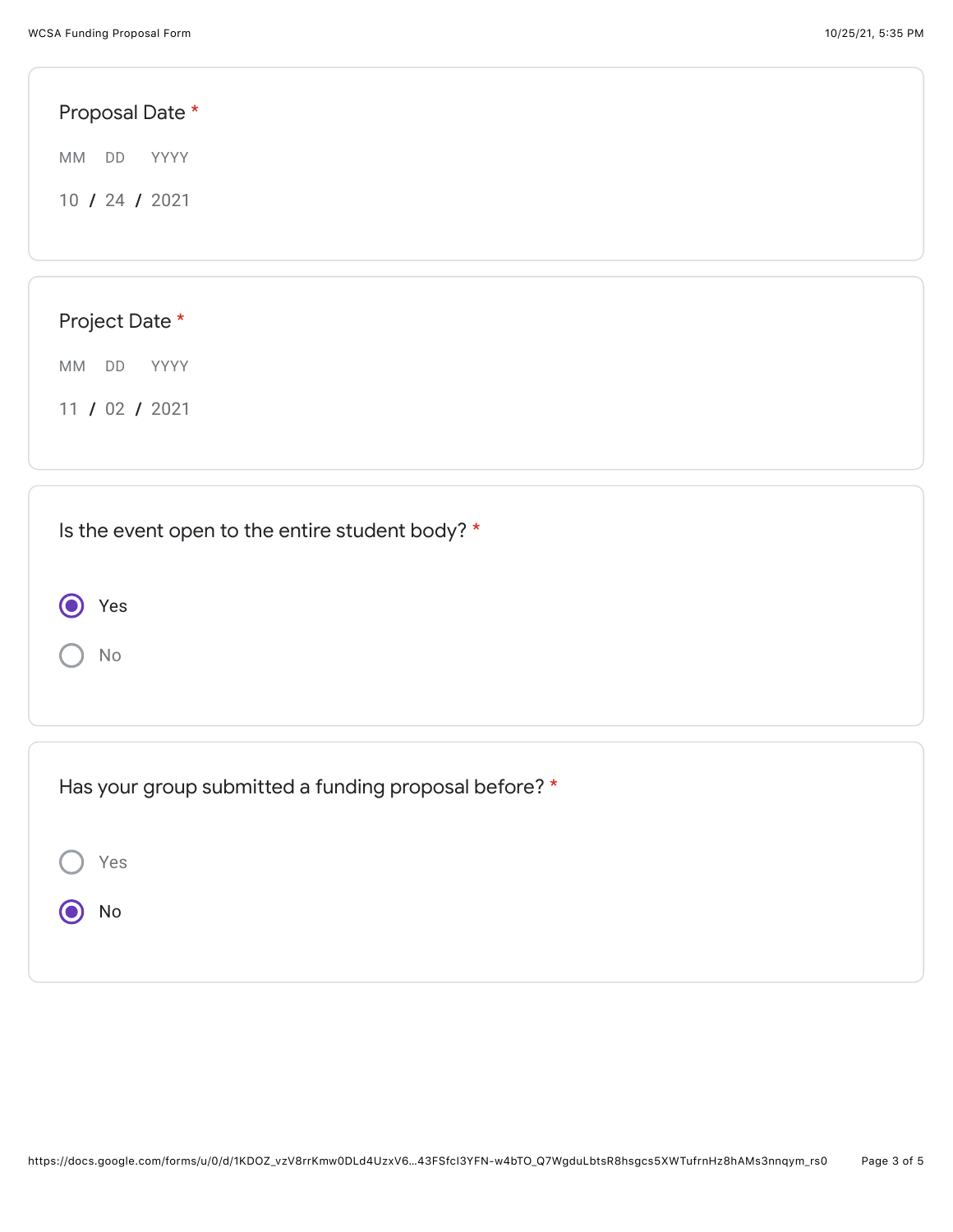| Proposal Date *                                 |  |
|-------------------------------------------------|--|
| MM<br>DD<br>YYYY                                |  |
| 10 / 24 / 2021                                  |  |
|                                                 |  |
| Project Date *                                  |  |
| MM<br>DD<br>YYYY                                |  |
| 11 / 02 / 2021                                  |  |
| Is the event open to the entire student body? * |  |
| Yes                                             |  |

 $\bigcap$  No

| Has your group submitted a funding proposal before? * |
|-------------------------------------------------------|
| Yes                                                   |
| No                                                    |
|                                                       |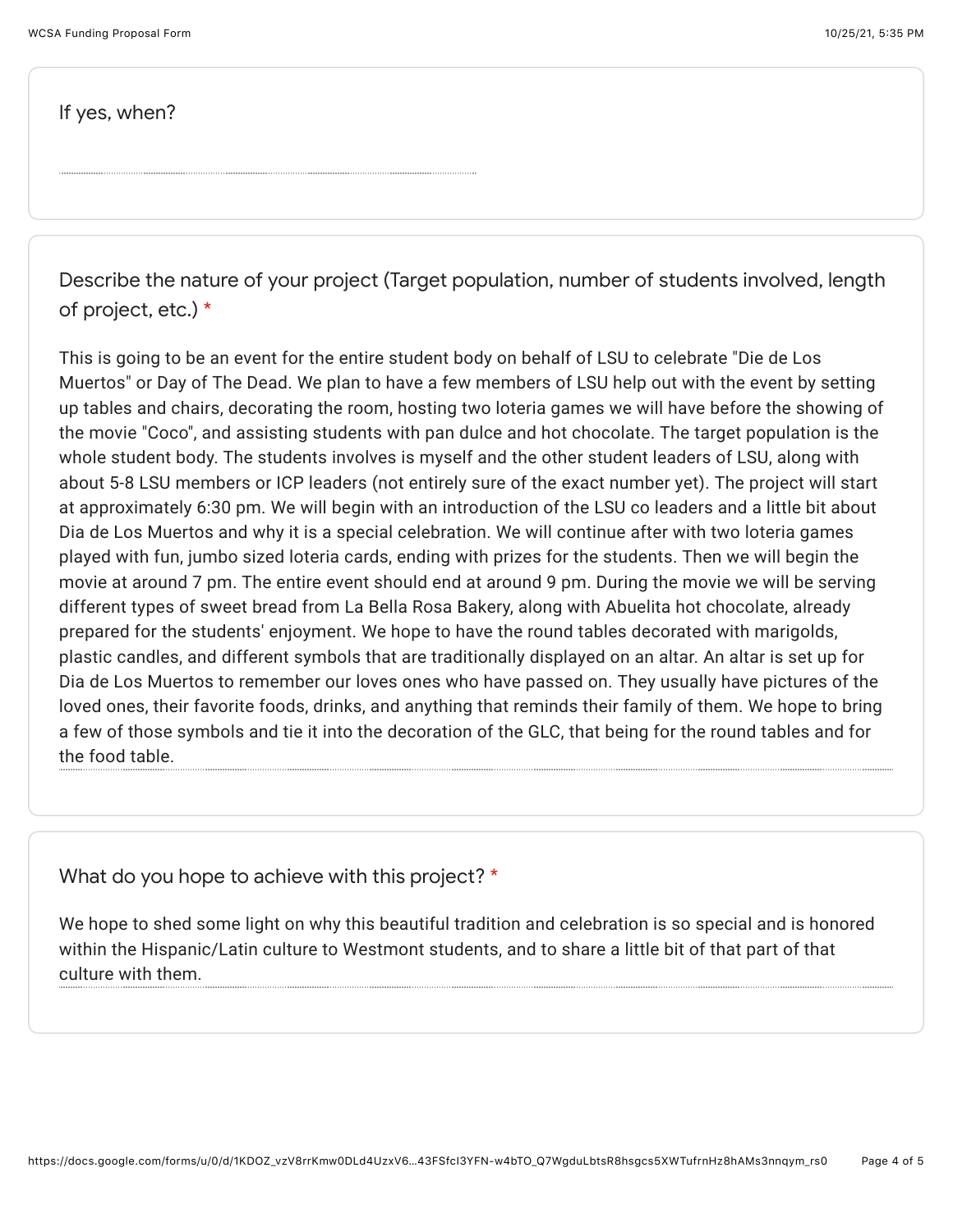If yes, when?

Describe the nature of your project (Target population, number of students involved, length of project, etc.) \*

This is going to be an event for the entire student body on behalf of LSU to celebrate "Die de Los Muertos" or Day of The Dead. We plan to have a few members of LSU help out with the event by setting up tables and chairs, decorating the room, hosting two loteria games we will have before the showing of the movie "Coco", and assisting students with pan dulce and hot chocolate. The target population is the whole student body. The students involves is myself and the other student leaders of LSU, along with about 5-8 LSU members or ICP leaders (not entirely sure of the exact number yet). The project will start at approximately 6:30 pm. We will begin with an introduction of the LSU co leaders and a little bit about Dia de Los Muertos and why it is a special celebration. We will continue after with two loteria games played with fun, jumbo sized loteria cards, ending with prizes for the students. Then we will begin the movie at around 7 pm. The entire event should end at around 9 pm. During the movie we will be serving different types of sweet bread from La Bella Rosa Bakery, along with Abuelita hot chocolate, already prepared for the students' enjoyment. We hope to have the round tables decorated with marigolds, plastic candles, and different symbols that are traditionally displayed on an altar. An altar is set up for Dia de Los Muertos to remember our loves ones who have passed on. They usually have pictures of the loved ones, their favorite foods, drinks, and anything that reminds their family of them. We hope to bring a few of those symbols and tie it into the decoration of the GLC, that being for the round tables and for the food table.

What do you hope to achieve with this project? \*

We hope to shed some light on why this beautiful tradition and celebration is so special and is honored within the Hispanic/Latin culture to Westmont students, and to share a little bit of that part of that culture with them.